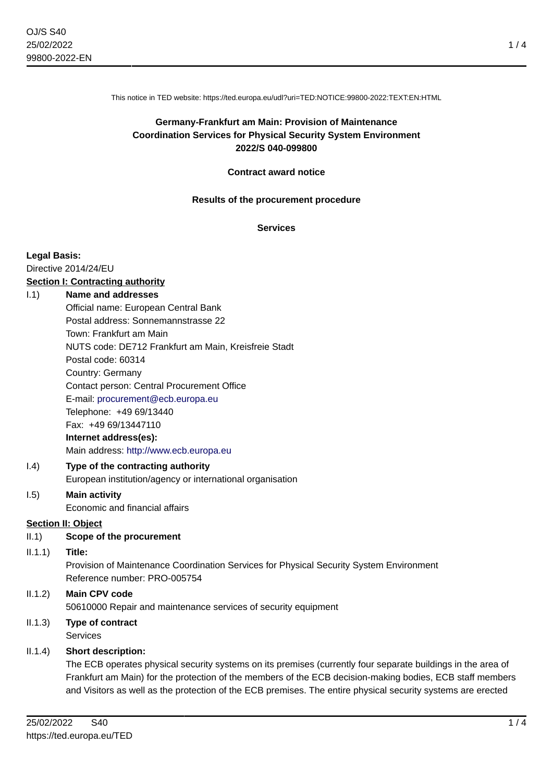This notice in TED website: https://ted.europa.eu/udl?uri=TED:NOTICE:99800-2022:TEXT:EN:HTML

# **Germany-Frankfurt am Main: Provision of Maintenance Coordination Services for Physical Security System Environment 2022/S 040-099800**

### **Contract award notice**

### **Results of the procurement procedure**

### **Services**

#### **Legal Basis:**

Directive 2014/24/EU

# **Section I: Contracting authority**

# I.1) **Name and addresses**

Official name: European Central Bank Postal address: Sonnemannstrasse 22 Town: Frankfurt am Main NUTS code: DE712 Frankfurt am Main, Kreisfreie Stadt Postal code: 60314 Country: Germany Contact person: Central Procurement Office E-mail: [procurement@ecb.europa.eu](mailto:procurement@ecb.europa.eu) Telephone: +49 69/13440 Fax: +49 69/13447110 **Internet address(es):** Main address:<http://www.ecb.europa.eu>

# I.4) **Type of the contracting authority** European institution/agency or international organisation

### I.5) **Main activity** Economic and financial affairs

# **Section II: Object**

II.1) **Scope of the procurement**

# II.1.1) **Title:**

Provision of Maintenance Coordination Services for Physical Security System Environment Reference number: PRO-005754

# II.1.2) **Main CPV code** 50610000 Repair and maintenance services of security equipment

### II.1.3) **Type of contract** Services

# II.1.4) **Short description:**

The ECB operates physical security systems on its premises (currently four separate buildings in the area of Frankfurt am Main) for the protection of the members of the ECB decision-making bodies, ECB staff members and Visitors as well as the protection of the ECB premises. The entire physical security systems are erected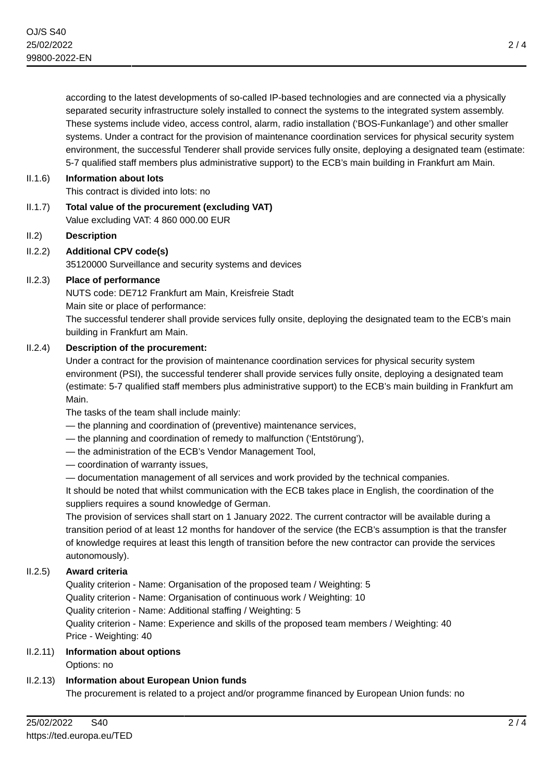according to the latest developments of so-called IP-based technologies and are connected via a physically separated security infrastructure solely installed to connect the systems to the integrated system assembly. These systems include video, access control, alarm, radio installation ('BOS-Funkanlage') and other smaller systems. Under a contract for the provision of maintenance coordination services for physical security system environment, the successful Tenderer shall provide services fully onsite, deploying a designated team (estimate: 5-7 qualified staff members plus administrative support) to the ECB's main building in Frankfurt am Main.

# II.1.6) **Information about lots**

This contract is divided into lots: no

II.1.7) **Total value of the procurement (excluding VAT)** Value excluding VAT: 4 860 000.00 EUR

# II.2) **Description**

II.2.2) **Additional CPV code(s)**

35120000 Surveillance and security systems and devices

# II.2.3) **Place of performance**

NUTS code: DE712 Frankfurt am Main, Kreisfreie Stadt

Main site or place of performance:

The successful tenderer shall provide services fully onsite, deploying the designated team to the ECB's main building in Frankfurt am Main.

# II.2.4) **Description of the procurement:**

Under a contract for the provision of maintenance coordination services for physical security system environment (PSI), the successful tenderer shall provide services fully onsite, deploying a designated team (estimate: 5-7 qualified staff members plus administrative support) to the ECB's main building in Frankfurt am Main.

The tasks of the team shall include mainly:

- the planning and coordination of (preventive) maintenance services,
- the planning and coordination of remedy to malfunction ('Entstörung'),
- the administration of the ECB's Vendor Management Tool,
- coordination of warranty issues,

— documentation management of all services and work provided by the technical companies.

It should be noted that whilst communication with the ECB takes place in English, the coordination of the suppliers requires a sound knowledge of German.

The provision of services shall start on 1 January 2022. The current contractor will be available during a transition period of at least 12 months for handover of the service (the ECB's assumption is that the transfer of knowledge requires at least this length of transition before the new contractor can provide the services autonomously).

### II.2.5) **Award criteria**

Quality criterion - Name: Organisation of the proposed team / Weighting: 5 Quality criterion - Name: Organisation of continuous work / Weighting: 10 Quality criterion - Name: Additional staffing / Weighting: 5 Quality criterion - Name: Experience and skills of the proposed team members / Weighting: 40 Price - Weighting: 40

# II.2.11) **Information about options**

Options: no

# II.2.13) **Information about European Union funds**

The procurement is related to a project and/or programme financed by European Union funds: no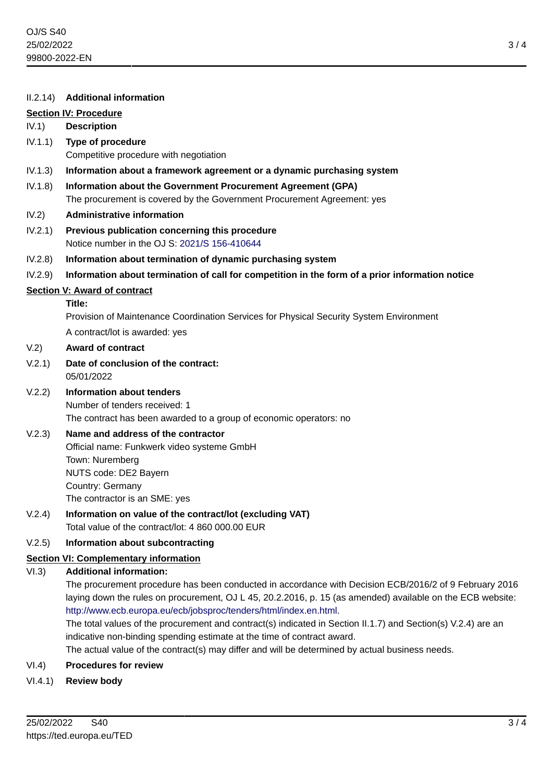|         | II.2.14) Additional information                                                                                                                                                                                      |
|---------|----------------------------------------------------------------------------------------------------------------------------------------------------------------------------------------------------------------------|
|         | <b>Section IV: Procedure</b>                                                                                                                                                                                         |
| IV.1)   | <b>Description</b>                                                                                                                                                                                                   |
| IV.1.1) | <b>Type of procedure</b>                                                                                                                                                                                             |
|         | Competitive procedure with negotiation                                                                                                                                                                               |
| IV.1.3) | Information about a framework agreement or a dynamic purchasing system                                                                                                                                               |
| IV.1.8) | Information about the Government Procurement Agreement (GPA)<br>The procurement is covered by the Government Procurement Agreement: yes                                                                              |
| IV.2)   | <b>Administrative information</b>                                                                                                                                                                                    |
| IV.2.1) | Previous publication concerning this procedure                                                                                                                                                                       |
|         | Notice number in the OJ S: 2021/S 156-410644                                                                                                                                                                         |
| IV.2.8) | Information about termination of dynamic purchasing system                                                                                                                                                           |
| IV.2.9) | Information about termination of call for competition in the form of a prior information notice                                                                                                                      |
|         | <b>Section V: Award of contract</b>                                                                                                                                                                                  |
|         | Title:                                                                                                                                                                                                               |
|         | Provision of Maintenance Coordination Services for Physical Security System Environment                                                                                                                              |
|         | A contract/lot is awarded: yes                                                                                                                                                                                       |
| V.2)    | <b>Award of contract</b><br>Date of conclusion of the contract:                                                                                                                                                      |
| V.2.1)  | 05/01/2022                                                                                                                                                                                                           |
| V.2.2)  | <b>Information about tenders</b>                                                                                                                                                                                     |
|         | Number of tenders received: 1                                                                                                                                                                                        |
|         | The contract has been awarded to a group of economic operators: no                                                                                                                                                   |
| V.2.3)  | Name and address of the contractor<br>Official name: Funkwerk video systeme GmbH                                                                                                                                     |
|         | Town: Nuremberg                                                                                                                                                                                                      |
|         | NUTS code: DE2 Bayern                                                                                                                                                                                                |
|         | Country: Germany                                                                                                                                                                                                     |
|         | The contractor is an SME: yes                                                                                                                                                                                        |
| V.2.4)  | Information on value of the contract/lot (excluding VAT)<br>Total value of the contract/lot: 4 860 000.00 EUR                                                                                                        |
| V.2.5)  | Information about subcontracting                                                                                                                                                                                     |
| VI.3)   | <b>Section VI: Complementary information</b><br><b>Additional information:</b>                                                                                                                                       |
|         | The procurement procedure has been conducted in accordance with Decision ECB/2016/2 of 9 February 2016<br>laying down the rules on procurement, OJ L 45, 20.2.2016, p. 15 (as amended) available on the ECB website: |
|         | http://www.ecb.europa.eu/ecb/jobsproc/tenders/html/index.en.html.                                                                                                                                                    |
|         | The total values of the procurement and contract(s) indicated in Section II.1.7) and Section(s) V.2.4) are an                                                                                                        |
|         | indicative non-binding spending estimate at the time of contract award.                                                                                                                                              |
|         | The actual value of the contract(s) may differ and will be determined by actual business needs.                                                                                                                      |
| VI.4)   | <b>Procedures for review</b>                                                                                                                                                                                         |
| VI.4.1) | <b>Review body</b>                                                                                                                                                                                                   |
|         |                                                                                                                                                                                                                      |
|         |                                                                                                                                                                                                                      |

 $3/4$